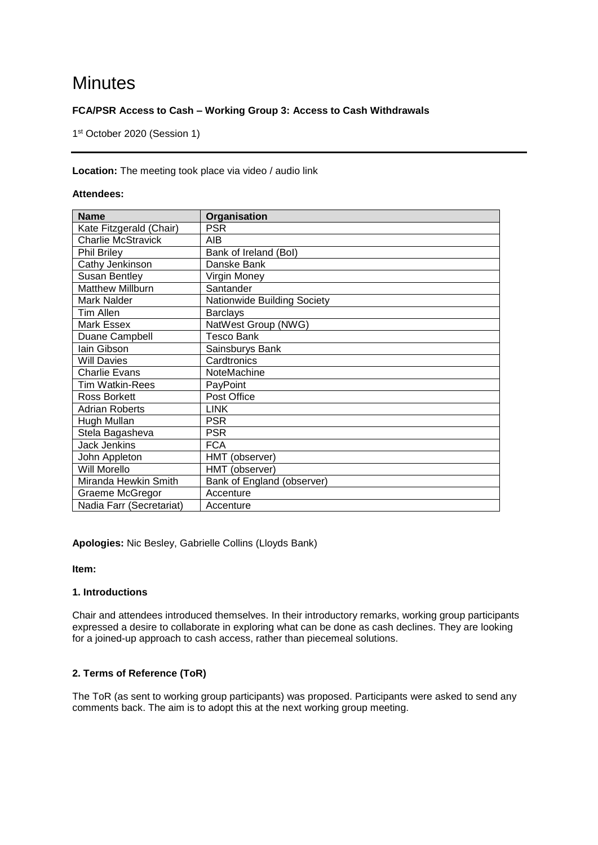# **Minutes**

## **FCA/PSR Access to Cash – Working Group 3: Access to Cash Withdrawals**

1 st October 2020 (Session 1)

### **Location:** The meeting took place via video / audio link

## **Attendees:**

| <b>Name</b>               | Organisation                |
|---------------------------|-----------------------------|
| Kate Fitzgerald (Chair)   | <b>PSR</b>                  |
| <b>Charlie McStravick</b> | AIB                         |
| <b>Phil Briley</b>        | Bank of Ireland (Bol)       |
| Cathy Jenkinson           | Danske Bank                 |
| <b>Susan Bentley</b>      | Virgin Money                |
| <b>Matthew Millburn</b>   | Santander                   |
| Mark Nalder               | Nationwide Building Society |
| Tim Allen                 | <b>Barclays</b>             |
| Mark Essex                | NatWest Group (NWG)         |
| Duane Campbell            | Tesco Bank                  |
| lain Gibson               | Sainsburys Bank             |
| <b>Will Davies</b>        | Cardtronics                 |
| <b>Charlie Evans</b>      | NoteMachine                 |
| <b>Tim Watkin-Rees</b>    | PayPoint                    |
| Ross Borkett              | Post Office                 |
| <b>Adrian Roberts</b>     | <b>LINK</b>                 |
| Hugh Mullan               | <b>PSR</b>                  |
| Stela Bagasheva           | <b>PSR</b>                  |
| <b>Jack Jenkins</b>       | <b>FCA</b>                  |
| John Appleton             | HMT (observer)              |
| Will Morello              | HMT (observer)              |
| Miranda Hewkin Smith      | Bank of England (observer)  |
| Graeme McGregor           | Accenture                   |
| Nadia Farr (Secretariat)  | Accenture                   |

**Apologies:** Nic Besley, Gabrielle Collins (Lloyds Bank)

**Item:**

## **1. Introductions**

Chair and attendees introduced themselves. In their introductory remarks, working group participants expressed a desire to collaborate in exploring what can be done as cash declines. They are looking for a joined-up approach to cash access, rather than piecemeal solutions.

## **2. Terms of Reference (ToR)**

The ToR (as sent to working group participants) was proposed. Participants were asked to send any comments back. The aim is to adopt this at the next working group meeting.